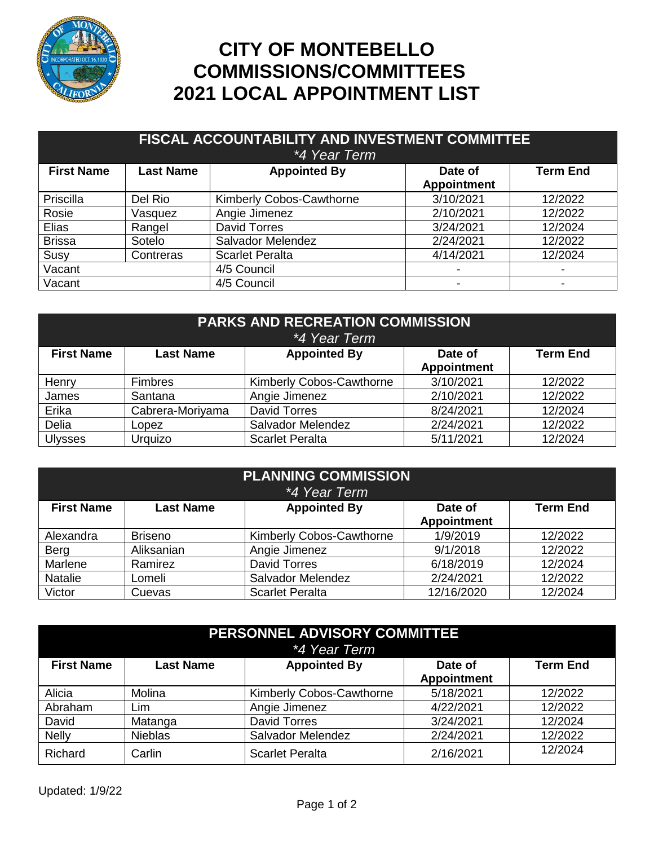

## **CITY OF MONTEBELLO COMMISSIONS/COMMITTEES 2021 LOCAL APPOINTMENT LIST**

| FISCAL ACCOUNTABILITY AND INVESTMENT COMMITTEE<br><i>*4 Year Term</i> |                  |                          |                               |                 |
|-----------------------------------------------------------------------|------------------|--------------------------|-------------------------------|-----------------|
| <b>First Name</b>                                                     | <b>Last Name</b> | <b>Appointed By</b>      | Date of<br><b>Appointment</b> | <b>Term End</b> |
| Priscilla                                                             | Del Rio          | Kimberly Cobos-Cawthorne | 3/10/2021                     | 12/2022         |
| Rosie                                                                 | Vasquez          | Angie Jimenez            | 2/10/2021                     | 12/2022         |
| Elias                                                                 | Rangel           | <b>David Torres</b>      | 3/24/2021                     | 12/2024         |
| <b>Brissa</b>                                                         | Sotelo           | Salvador Melendez        | 2/24/2021                     | 12/2022         |
| Susy                                                                  | Contreras        | <b>Scarlet Peralta</b>   | 4/14/2021                     | 12/2024         |
| Vacant                                                                |                  | 4/5 Council              | $\overline{\phantom{a}}$      |                 |
| Vacant                                                                |                  | 4/5 Council              |                               |                 |

| <b>PARKS AND RECREATION COMMISSION</b><br><i>*4 Year Term</i> |                  |                                 |                               |                 |  |
|---------------------------------------------------------------|------------------|---------------------------------|-------------------------------|-----------------|--|
| <b>First Name</b>                                             | <b>Last Name</b> | <b>Appointed By</b>             | Date of<br><b>Appointment</b> | <b>Term End</b> |  |
| Henry                                                         | <b>Fimbres</b>   | <b>Kimberly Cobos-Cawthorne</b> | 3/10/2021                     | 12/2022         |  |
| James                                                         | Santana          | Angie Jimenez                   | 2/10/2021                     | 12/2022         |  |
| Erika                                                         | Cabrera-Moriyama | <b>David Torres</b>             | 8/24/2021                     | 12/2024         |  |
| Delia                                                         | Lopez            | Salvador Melendez               | 2/24/2021                     | 12/2022         |  |
| <b>Ulysses</b>                                                | Urquizo          | <b>Scarlet Peralta</b>          | 5/11/2021                     | 12/2024         |  |

| <b>PLANNING COMMISSION</b><br>*4 Year Term |                  |                          |                               |                 |
|--------------------------------------------|------------------|--------------------------|-------------------------------|-----------------|
| <b>First Name</b>                          | <b>Last Name</b> | <b>Appointed By</b>      | Date of<br><b>Appointment</b> | <b>Term End</b> |
| Alexandra                                  | <b>Briseno</b>   | Kimberly Cobos-Cawthorne | 1/9/2019                      | 12/2022         |
| Berg                                       | Aliksanian       | Angie Jimenez            | 9/1/2018                      | 12/2022         |
| Marlene                                    | Ramirez          | <b>David Torres</b>      | 6/18/2019                     | 12/2024         |
| Natalie                                    | Lomeli           | Salvador Melendez        | 2/24/2021                     | 12/2022         |
| Victor                                     | Cuevas           | <b>Scarlet Peralta</b>   | 12/16/2020                    | 12/2024         |

| PERSONNEL ADVISORY COMMITTEE<br>*4 Year Term |                  |                                 |                               |                 |
|----------------------------------------------|------------------|---------------------------------|-------------------------------|-----------------|
| <b>First Name</b>                            | <b>Last Name</b> | <b>Appointed By</b>             | Date of<br><b>Appointment</b> | <b>Term End</b> |
| Alicia                                       | Molina           | <b>Kimberly Cobos-Cawthorne</b> | 5/18/2021                     | 12/2022         |
| Abraham                                      | Lim              | Angie Jimenez                   | 4/22/2021                     | 12/2022         |
| David                                        | Matanga          | <b>David Torres</b>             | 3/24/2021                     | 12/2024         |
| <b>Nelly</b>                                 | <b>Nieblas</b>   | Salvador Melendez               | 2/24/2021                     | 12/2022         |
| Richard                                      | Carlin           | <b>Scarlet Peralta</b>          | 2/16/2021                     | 12/2024         |